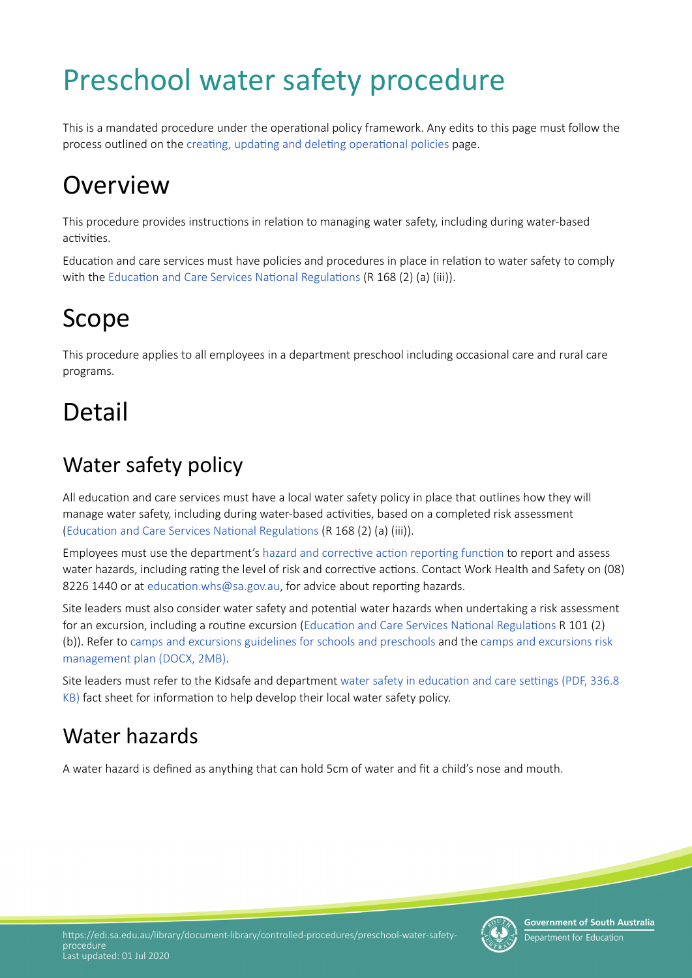# Preschool water safety procedure

This is a mandated procedure under the operatonal policy framework. Any edits to this page must follow the process outlined on the creating, updating and deleting operational policies page.

## **Overview**

This procedure provides instructions in relation to managing water safety, including during water-based activities.

Education and care services must have policies and procedures in place in relation to water safety to comply with the Education and Care Services National Regulations (R 168 (2) (a) (iii)).

### Scope

This procedure applies to all employees in a department preschool including occasional care and rural care programs.

## Detail

### Water safety policy

All education and care services must have a local water safety policy in place that outlines how they will manage water safety, including during water-based activities, based on a completed risk assessment (Education and Care Services National Regulations (R 168 (2) (a) (iii)).

Employees must use the department's hazard and corrective action reporting function to report and assess water hazards, including rating the level of risk and corrective actions. Contact Work Health and Safety on (08) 8226 1440 or at education.whs@sa.gov.au, for advice about reporting hazards.

Site leaders must also consider water safety and potental water hazards when undertaking a risk assessment for an excursion, including a routine excursion (Education and Care Services National Regulations R 101 (2) (b)). Refer to [camps and excursions guidelines for schools and preschools](https://edi.sa.edu.au/hr/for-managers/health-and-safety/creating-a-safe-workplace/camps-and-excursions) and the [camps and excursions risk](https://searchadmin.learnlink.sa.edu.au/s/redirect?collection=edi-combined&url=https%3A%2F%2Fedi.sa.edu.au%2Flibrary%2Fdocument-library%2Ftemplates%2Fearly-childhood-services%2Fcamps-and-excursion-risk-management-form.docx&auth=ZKassNPdVjF7UNXeIQJBmQ&profile=_default&rank=2&query=camps+and+excursions+risk+management+form)  [management plan \(DOCX, 2MB\)](https://searchadmin.learnlink.sa.edu.au/s/redirect?collection=edi-combined&url=https%3A%2F%2Fedi.sa.edu.au%2Flibrary%2Fdocument-library%2Ftemplates%2Fearly-childhood-services%2Fcamps-and-excursion-risk-management-form.docx&auth=ZKassNPdVjF7UNXeIQJBmQ&profile=_default&rank=2&query=camps+and+excursions+risk+management+form).

Site leaders must refer to the Kidsafe and department water safety in education and care settings (PDF, 336.8) [KB\)](https://edi.sa.edu.au/library/document-library/people-and-culture/work-health-and-safety/kidsafe/Water_safety_in_education_and_care-settings.pdf) fact sheet for information to help develop their local water safety policy.

### Water hazards

A water hazard is defned as anything that can hold 5cm of water and ft a child's nose and mouth.



**Government of South Australia** Department for Educatior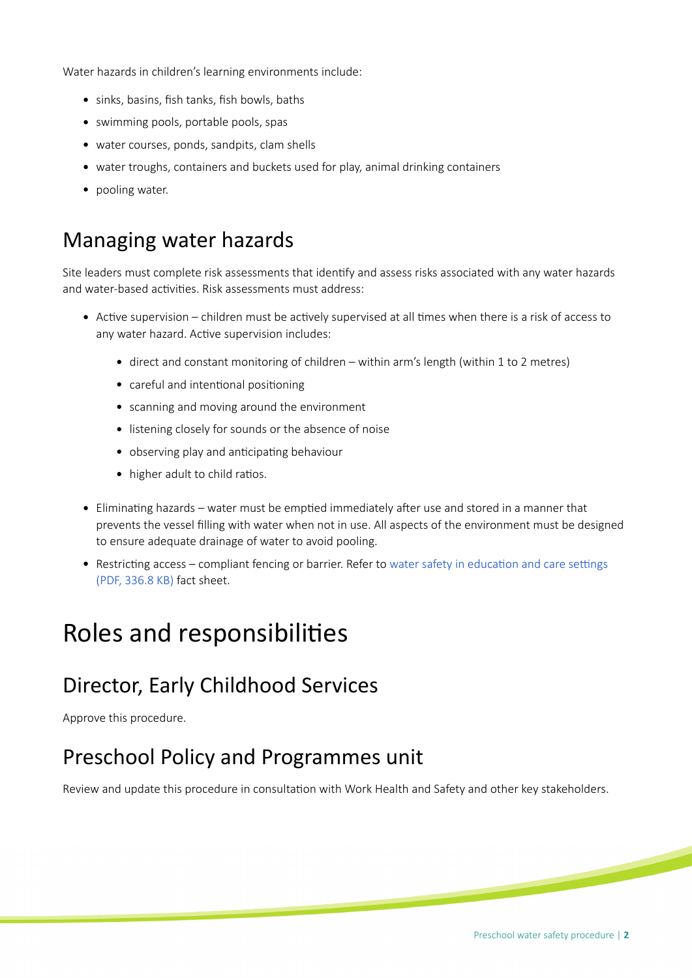Water hazards in children's learning environments include:

- sinks, basins, fish tanks, fish bowls, baths
- swimming pools, portable pools, spas
- water courses, ponds, sandpits, clam shells
- water troughs, containers and buckets used for play, animal drinking containers
- pooling water.

#### Managing water hazards

Site leaders must complete risk assessments that identify and assess risks associated with any water hazards and water-based activities. Risk assessments must address:

- Active supervision children must be actively supervised at all times when there is a risk of access to any water hazard. Active supervision includes:
	- direct and constant monitoring of children within arm's length (within 1 to 2 metres)
	- careful and intentional positioning
	- scanning and moving around the environment
	- listening closely for sounds or the absence of noise
	- observing play and anticipating behaviour
	- higher adult to child ratios.
- Eliminating hazards water must be emptied immediately after use and stored in a manner that prevents the vessel flling with water when not in use. All aspects of the environment must be designed to ensure adequate drainage of water to avoid pooling.
- Restricting access compliant fencing or barrier. Refer to water safety in education and care settings [\(PDF, 336.8 KB\)](https://edi.sa.edu.au/library/document-library/people-and-culture/work-health-and-safety/kidsafe/Water_safety_in_education_and_care-settings.pdf) fact sheet.

#### Roles and responsibilites

#### Director, Early Childhood Services

Approve this procedure.

#### Preschool Policy and Programmes unit

Review and update this procedure in consultaton with Work Health and Safety and other key stakeholders.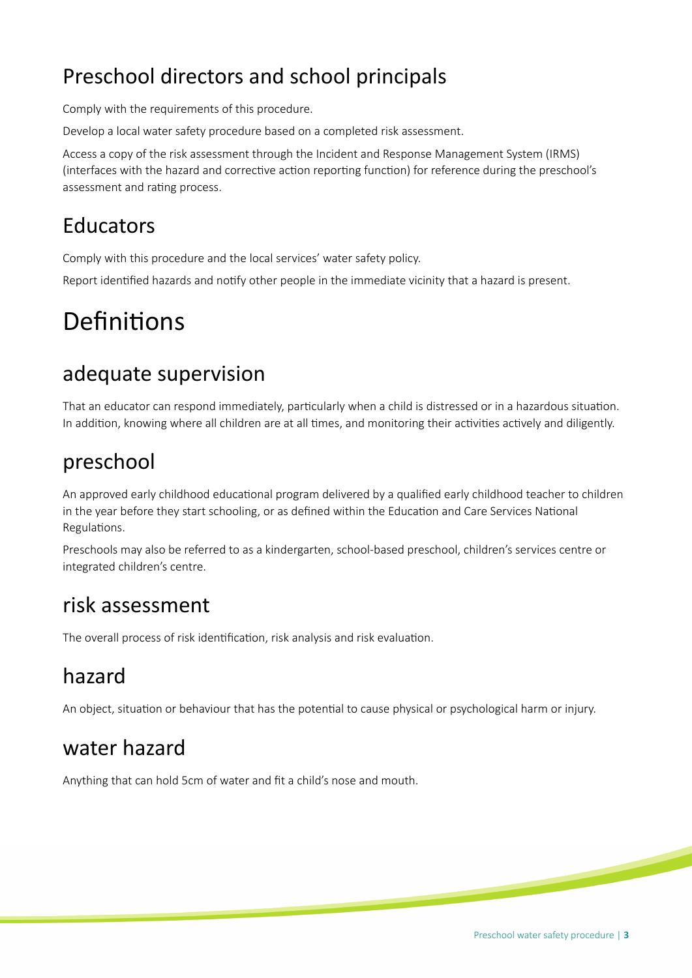### Preschool directors and school principals

Comply with the requirements of this procedure.

Develop a local water safety procedure based on a completed risk assessment.

Access a copy of the risk assessment through the Incident and Response Management System (IRMS) (interfaces with the hazard and corrective action reporting function) for reference during the preschool's assessment and rating process.

#### Educators

Comply with this procedure and the local services' water safety policy.

Report identified hazards and notify other people in the immediate vicinity that a hazard is present.

### Definitions

#### adequate supervision

That an educator can respond immediately, partcularly when a child is distressed or in a hazardous situaton. In addition, knowing where all children are at all times, and monitoring their activities actively and diligently.

#### preschool

An approved early childhood educational program delivered by a qualified early childhood teacher to children in the year before they start schooling, or as defined within the Education and Care Services National Regulations.

 Preschools may also be referred to as a kindergarten, school-based preschool, children's services centre or integrated children's centre.

#### risk assessment

The overall process of risk identification, risk analysis and risk evaluation.

#### hazard

An object, situation or behaviour that has the potential to cause physical or psychological harm or injury.

#### water hazard

Anything that can hold 5cm of water and fit a child's nose and mouth.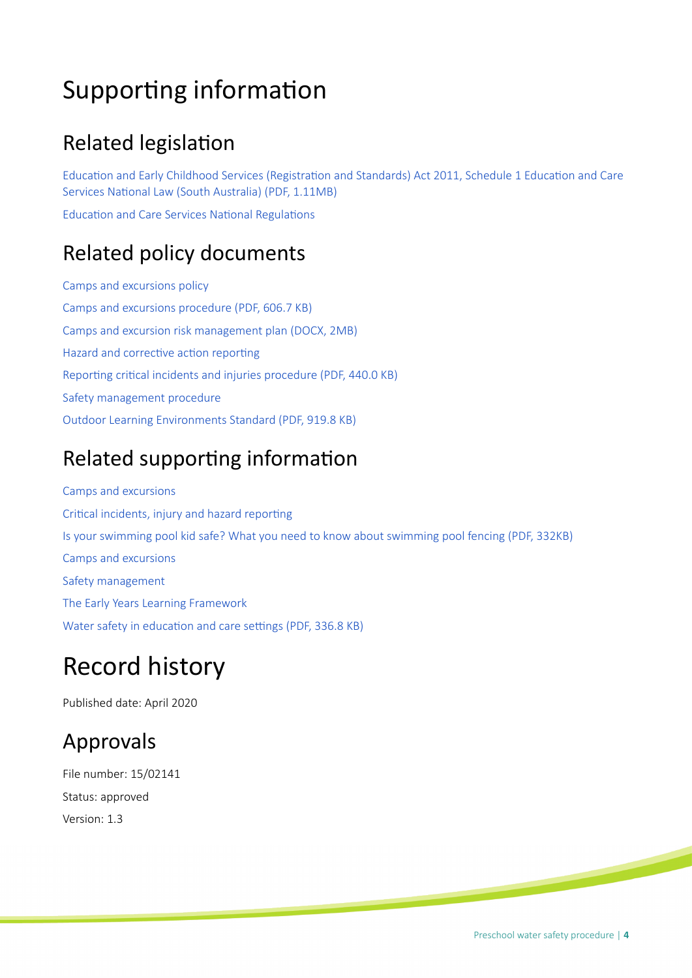### Supporting information

#### **Related legislation**

Education and Early Childhood Services (Registration and Standards) Act 2011, Schedule 1 Education and Care Services National Law (South Australia) (PDF, 1.11MB)

Education and Care Services National Regulations

#### Related policy documents

[Camps and excursions policy](https://edi.sa.edu.au/library/document-library/controlled-policies/camps-and-excursions-policy) [Camps and excursions procedure \(PDF, 606.7 KB\)](https://edi.sa.edu.au/library/document-library/controlled-procedures/camps-and-excursions-procedure.pdf) [Camps and excursion risk management plan \(DOCX, 2MB\)](https://searchadmin.learnlink.sa.edu.au/s/redirect?collection=edi-combined&url=https%3A%2F%2Fedi.sa.edu.au%2Flibrary%2Fdocument-library%2Ftemplates%2Fearly-childhood-services%2Fcamps-and-excursion-risk-management-form.docx&auth=ZKassNPdVjF7UNXeIQJBmQ&profile=_default&rank=2&query=camps+and+excursions+risk+management+form) Hazard and corrective action reporting Reporting critical incidents and injuries procedure (PDF, 440.0 KB) [Safety management procedure](https://edi.sa.edu.au/library/document-library/controlled-procedures/safety-management-procedure) [Outdoor Learning Environments Standard \(PDF, 919.8 KB\)](https://edi.sa.edu.au/library/document-library/infrastructure/capital-programs-and-asset-services/Outdoor-Learning-Environments-Standard.pdf)

#### Related supporting information

[Camps and excursions](https://edi.sa.edu.au/hr/for-managers/health-and-safety/creating-a-safe-workplace/camps-and-excursions) Critical incidents, injury and hazard reporting [Is your swimming pool kid safe? What you need to know about swimming pool fencing \(PDF, 332KB\)](https://www.sa.gov.au/__data/assets/pdf_file/0003/19389/Is_your_swimming_pool_kid_safe.pdf) [Camps and excursions](https://edi.sa.edu.au/hr/for-managers/health-and-safety/creating-a-safe-workplace/camps-and-excursions) [Safety management](https://edi.sa.edu.au/hr/for-managers/health-and-safety/safety-management) [The Early Years Learning Framework](https://docs.education.gov.au/node/2632) Water safety in education and care settings (PDF, 336.8 KB)

### Record history

Published date: April 2020

#### Approvals

File number: 15/02141 Status: approved Version: 1.3